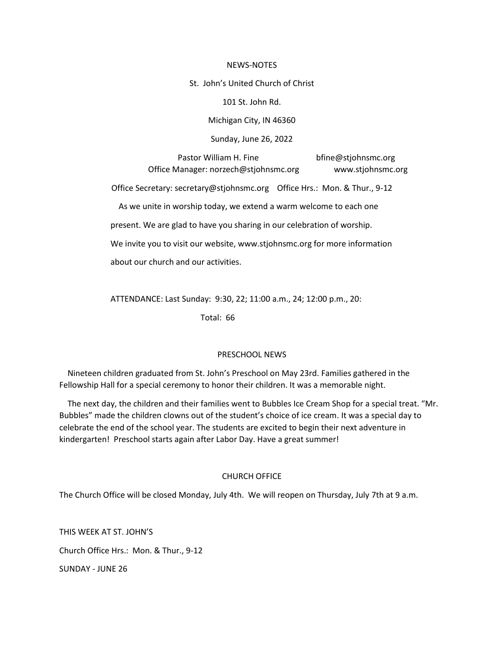#### NEWS-NOTES

St. John's United Church of Christ

101 St. John Rd.

Michigan City, IN 46360

Sunday, June 26, 2022

Pastor William H. Fine bfine@stjohnsmc.org Office Manager: norzech@stjohnsmc.org www.stjohnsmc.org

Office Secretary: secretary@stjohnsmc.org Office Hrs.: Mon. & Thur., 9-12

As we unite in worship today, we extend a warm welcome to each one

present. We are glad to have you sharing in our celebration of worship.

We invite you to visit our website, www.stjohnsmc.org for more information

about our church and our activities.

ATTENDANCE: Last Sunday: 9:30, 22; 11:00 a.m., 24; 12:00 p.m., 20:

Total: 66

### PRESCHOOL NEWS

 Nineteen children graduated from St. John's Preschool on May 23rd. Families gathered in the Fellowship Hall for a special ceremony to honor their children. It was a memorable night.

 The next day, the children and their families went to Bubbles Ice Cream Shop for a special treat. "Mr. Bubbles" made the children clowns out of the student's choice of ice cream. It was a special day to celebrate the end of the school year. The students are excited to begin their next adventure in kindergarten! Preschool starts again after Labor Day. Have a great summer!

### CHURCH OFFICE

The Church Office will be closed Monday, July 4th. We will reopen on Thursday, July 7th at 9 a.m.

THIS WEEK AT ST. JOHN'S Church Office Hrs.: Mon. & Thur., 9-12 SUNDAY - JUNE 26